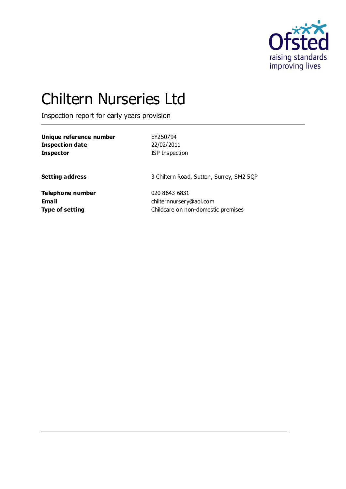

# Chiltern Nurseries Ltd

Inspection report for early years provision

| Unique reference number | EY250794                                 |
|-------------------------|------------------------------------------|
| <b>Inspection date</b>  | 22/02/2011                               |
| <b>Inspector</b>        | <b>ISP</b> Inspection                    |
| <b>Setting address</b>  | 3 Chiltern Road, Sutton, Surrey, SM2 5QP |
| Telephone number        | 020 8643 6831                            |
| <b>Email</b>            | chilternnursery@aol.com                  |
| <b>Type of setting</b>  | Childcare on non-domestic premises       |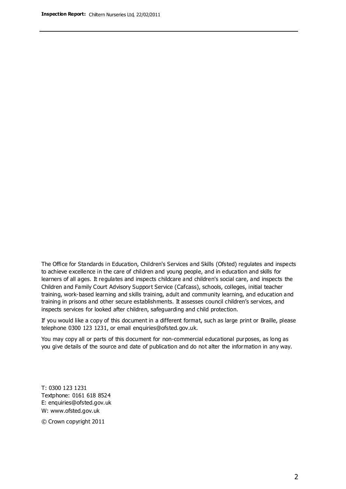The Office for Standards in Education, Children's Services and Skills (Ofsted) regulates and inspects to achieve excellence in the care of children and young people, and in education and skills for learners of all ages. It regulates and inspects childcare and children's social care, and inspects the Children and Family Court Advisory Support Service (Cafcass), schools, colleges, initial teacher training, work-based learning and skills training, adult and community learning, and education and training in prisons and other secure establishments. It assesses council children's services, and inspects services for looked after children, safeguarding and child protection.

If you would like a copy of this document in a different format, such as large print or Braille, please telephone 0300 123 1231, or email enquiries@ofsted.gov.uk.

You may copy all or parts of this document for non-commercial educational purposes, as long as you give details of the source and date of publication and do not alter the information in any way.

T: 0300 123 1231 Textphone: 0161 618 8524 E: enquiries@ofsted.gov.uk W: [www.ofsted.gov.uk](http://www.ofsted.gov.uk/)

© Crown copyright 2011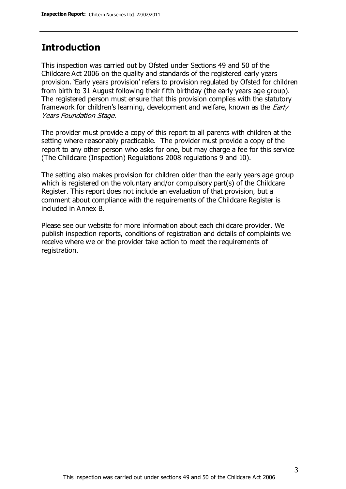# **Introduction**

This inspection was carried out by Ofsted under Sections 49 and 50 of the Childcare Act 2006 on the quality and standards of the registered early years provision. 'Early years provision' refers to provision regulated by Ofsted for children from birth to 31 August following their fifth birthday (the early years age group). The registered person must ensure that this provision complies with the statutory framework for children's learning, development and welfare, known as the *Early* Years Foundation Stage.

The provider must provide a copy of this report to all parents with children at the setting where reasonably practicable. The provider must provide a copy of the report to any other person who asks for one, but may charge a fee for this service (The Childcare (Inspection) Regulations 2008 regulations 9 and 10).

The setting also makes provision for children older than the early years age group which is registered on the voluntary and/or compulsory part(s) of the Childcare Register. This report does not include an evaluation of that provision, but a comment about compliance with the requirements of the Childcare Register is included in Annex B.

Please see our website for more information about each childcare provider. We publish inspection reports, conditions of registration and details of complaints we receive where we or the provider take action to meet the requirements of registration.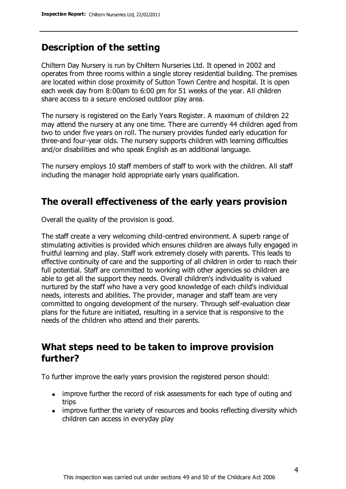# **Description of the setting**

Chiltern Day Nursery is run by Chiltern Nurseries Ltd. It opened in 2002 and operates from three rooms within a single storey residential building. The premises are located within close proximity of Sutton Town Centre and hospital. It is open each week day from 8:00am to 6:00 pm for 51 weeks of the year. All children share access to a secure enclosed outdoor play area.

The nursery is registered on the Early Years Register. A maximum of children 22 may attend the nursery at any one time. There are currently 44 children aged from two to under five years on roll. The nursery provides funded early education for three-and four-year olds. The nursery supports children with learning difficulties and/or disabilities and who speak English as an additional language.

The nursery employs 10 staff members of staff to work with the children. All staff including the manager hold appropriate early years qualification.

# **The overall effectiveness of the early years provision**

Overall the quality of the provision is good.

The staff create a very welcoming child-centred environment. A superb range of stimulating activities is provided which ensures children are always fully engaged in fruitful learning and play. Staff work extremely closely with parents. This leads to effective continuity of care and the supporting of all children in order to reach their full potential. Staff are committed to working with other agencies so children are able to get all the support they needs. Overall children's individuality is valued nurtured by the staff who have a very good knowledge of each child's individual needs, interests and abilities. The provider, manager and staff team are very committed to ongoing development of the nursery. Through self-evaluation clear plans for the future are initiated, resulting in a service that is responsive to the needs of the children who attend and their parents.

# **What steps need to be taken to improve provision further?**

To further improve the early years provision the registered person should:

- improve further the record of risk assessments for each type of outing and trips
- improve further the variety of resources and books reflecting diversity which children can access in everyday play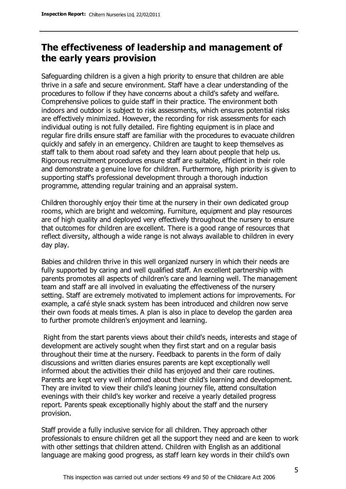# **The effectiveness of leadership and management of the early years provision**

Safeguarding children is a given a high priority to ensure that children are able thrive in a safe and secure environment. Staff have a clear understanding of the procedures to follow if they have concerns about a child's safety and welfare. Comprehensive polices to guide staff in their practice. The environment both indoors and outdoor is subject to risk assessments, which ensures potential risks are effectively minimized. However, the recording for risk assessments for each individual outing is not fully detailed. Fire fighting equipment is in place and regular fire drills ensure staff are familiar with the procedures to evacuate children quickly and safely in an emergency. Children are taught to keep themselves as staff talk to them about road safety and they learn about people that help us. Rigorous recruitment procedures ensure staff are suitable, efficient in their role and demonstrate a genuine love for children. Furthermore, high priority is given to supporting staff's professional development through a thorough induction programme, attending regular training and an appraisal system.

Children thoroughly enjoy their time at the nursery in their own dedicated group rooms, which are bright and welcoming. Furniture, equipment and play resources are of high quality and deployed very effectively throughout the nursery to ensure that outcomes for children are excellent. There is a good range of resources that reflect diversity, although a wide range is not always available to children in every day play.

Babies and children thrive in this well organized nursery in which their needs are fully supported by caring and well qualified staff. An excellent partnership with parents promotes all aspects of children's care and learning well. The management team and staff are all involved in evaluating the effectiveness of the nursery setting. Staff are extremely motivated to implement actions for improvements. For example, a café style snack system has been introduced and children now serve their own foods at meals times. A plan is also in place to develop the garden area to further promote children's enjoyment and learning.

Right from the start parents views about their child's needs, interests and stage of development are actively sought when they first start and on a regular basis throughout their time at the nursery. Feedback to parents in the form of daily discussions and written diaries ensures parents are kept exceptionally well informed about the activities their child has enjoyed and their care routines. Parents are kept very well informed about their child's learning and development. They are invited to view their child's leaning journey file, attend consultation evenings with their child's key worker and receive a yearly detailed progress report. Parents speak exceptionally highly about the staff and the nursery provision.

Staff provide a fully inclusive service for all children. They approach other professionals to ensure children get all the support they need and are keen to work with other settings that children attend. Children with English as an additional language are making good progress, as staff learn key words in their child's own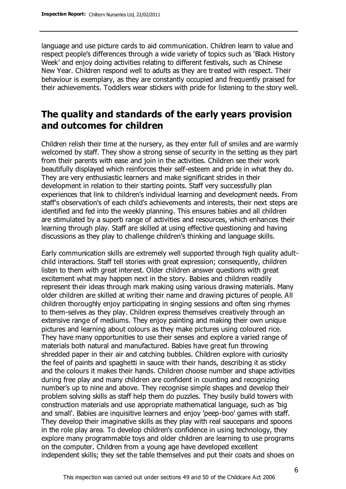language and use picture cards to aid communication. Children learn to value and respect people's differences through a wide variety of topics such as 'Black History Week' and enjoy doing activities relating to different festivals, such as Chinese New Year. Children respond well to adults as they are treated with respect. Their behaviour is exemplary, as they are constantly occupied and frequently praised for their achievements. Toddlers wear stickers with pride for listening to the story well.

# **The quality and standards of the early years provision and outcomes for children**

Children relish their time at the nursery, as they enter full of smiles and are warmly welcomed by staff. They show a strong sense of security in the setting as they part from their parents with ease and join in the activities. Children see their work beautifully displayed which reinforces their self-esteem and pride in what they do. They are very enthusiastic learners and make significant strides in their development in relation to their starting points. Staff very successfully plan experiences that link to children's individual learning and development needs. From staff's observation's of each child's achievements and interests, their next steps are identified and fed into the weekly planning. This ensures babies and all children are stimulated by a superb range of activities and resources, which enhances their learning through play. Staff are skilled at using effective questioning and having discussions as they play to challenge children's thinking and language skills.

Early communication skills are extremely well supported through high quality adultchild interactions. Staff tell stories with great expression; consequently, children listen to them with great interest. Older children answer questions with great excitement what may happen next in the story. Babies and children readily represent their ideas through mark making using various drawing materials. Many older children are skilled at writing their name and drawing pictures of people. All children thoroughly enjoy participating in singing sessions and often sing rhymes to them-selves as they play. Children express themselves creatively through an extensive range of mediums. They enjoy painting and making their own unique pictures and learning about colours as they make pictures using coloured rice. They have many opportunities to use their senses and explore a varied range of materials both natural and manufactured. Babies have great fun throwing shredded paper in their air and catching bubbles. Children explore with curiosity the feel of paints and spaghetti in sauce with their hands, describing it as sticky and the colours it makes their hands. Children choose number and shape activities during free play and many children are confident in counting and recognizing number's up to nine and above. They recognise simple shapes and develop their problem solving skills as staff help them do puzzles. They busily build towers with construction materials and use appropriate mathematical language, such as 'big and small'. Babies are inquisitive learners and enjoy 'peep-boo' games with staff. They develop their imaginative skills as they play with real saucepans and spoons in the role play area. To develop children's confidence in using technology, they explore many programmable toys and older children are learning to use programs on the computer. Children from a young age have developed excellent independent skills; they set the table themselves and put their coats and shoes on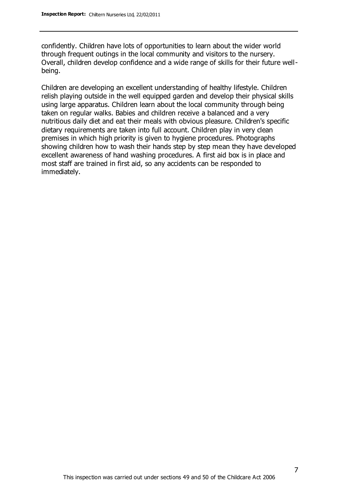confidently. Children have lots of opportunities to learn about the wider world through frequent outings in the local community and visitors to the nursery. Overall, children develop confidence and a wide range of skills for their future wellbeing.

Children are developing an excellent understanding of healthy lifestyle. Children relish playing outside in the well equipped garden and develop their physical skills using large apparatus. Children learn about the local community through being taken on regular walks. Babies and children receive a balanced and a very nutritious daily diet and eat their meals with obvious pleasure. Children's specific dietary requirements are taken into full account. Children play in very clean premises in which high priority is given to hygiene procedures. Photographs showing children how to wash their hands step by step mean they have developed excellent awareness of hand washing procedures. A first aid box is in place and most staff are trained in first aid, so any accidents can be responded to immediately.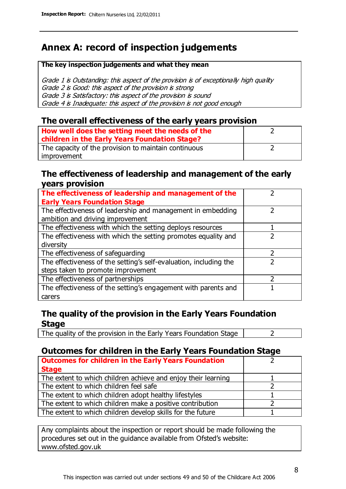# **Annex A: record of inspection judgements**

#### **The key inspection judgements and what they mean**

Grade 1 is Outstanding: this aspect of the provision is of exceptionally high quality Grade 2 is Good: this aspect of the provision is strong Grade 3 is Satisfactory: this aspect of the provision is sound Grade 4 is Inadequate: this aspect of the provision is not good enough

### **The overall effectiveness of the early years provision**

| How well does the setting meet the needs of the      |  |
|------------------------------------------------------|--|
| children in the Early Years Foundation Stage?        |  |
| The capacity of the provision to maintain continuous |  |
| improvement                                          |  |

#### **The effectiveness of leadership and management of the early years provision**

| The effectiveness of leadership and management of the             |  |
|-------------------------------------------------------------------|--|
| <b>Early Years Foundation Stage</b>                               |  |
| The effectiveness of leadership and management in embedding       |  |
| ambition and driving improvement                                  |  |
| The effectiveness with which the setting deploys resources        |  |
| The effectiveness with which the setting promotes equality and    |  |
| diversity                                                         |  |
| The effectiveness of safeguarding                                 |  |
| The effectiveness of the setting's self-evaluation, including the |  |
| steps taken to promote improvement                                |  |
| The effectiveness of partnerships                                 |  |
| The effectiveness of the setting's engagement with parents and    |  |
| carers                                                            |  |

### **The quality of the provision in the Early Years Foundation Stage**

The quality of the provision in the Early Years Foundation Stage  $\vert$  2

### **Outcomes for children in the Early Years Foundation Stage**

| <b>Outcomes for children in the Early Years Foundation</b>    |  |
|---------------------------------------------------------------|--|
| <b>Stage</b>                                                  |  |
| The extent to which children achieve and enjoy their learning |  |
| The extent to which children feel safe                        |  |
| The extent to which children adopt healthy lifestyles         |  |
| The extent to which children make a positive contribution     |  |
| The extent to which children develop skills for the future    |  |

Any complaints about the inspection or report should be made following the procedures set out in the guidance available from Ofsted's website: www.ofsted.gov.uk